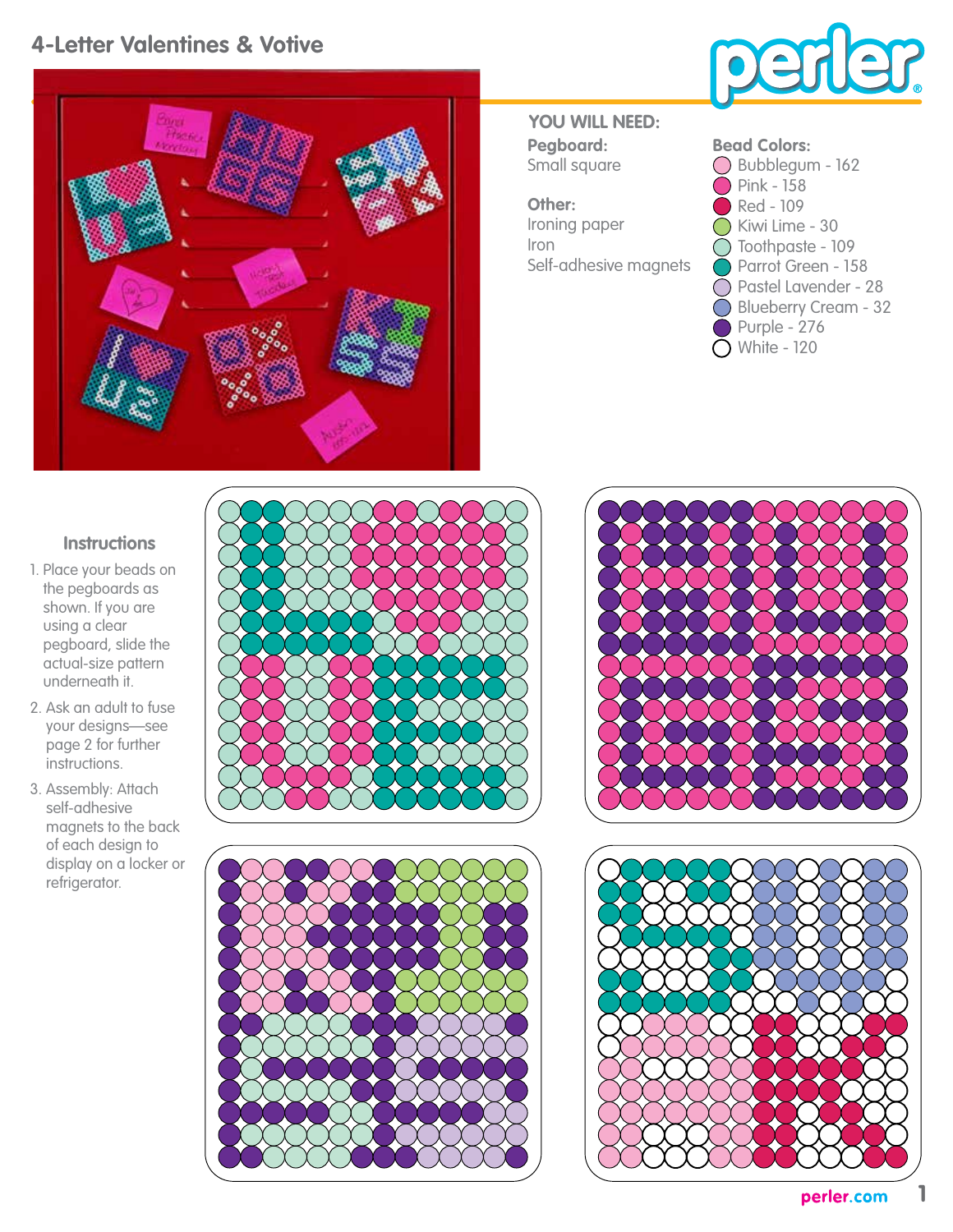## **4-Letter Valentines & Votive**





**Pegboard:** Small square **YOU WILL NEED:**

**Other:** Ironing paper Iron Self-adhesive magnets

| <b>Bead Colors:</b>         |
|-----------------------------|
| Bubblegum - 162             |
| $\sum$ Pink - 158           |
| Red - 109                   |
| Kiwi Lime - 30              |
| Toothpaste - 109            |
| Parrot Green - 158          |
| Pastel Lavender - 28        |
| <b>Blueberry Cream - 32</b> |
| Purple - 276                |
| White - 120                 |

## **Instructions**

- 1. Place your beads on the pegboards as shown. If you are using a clear pegboard, slide the actual-size pattern underneath it.
- 2. Ask an adult to fuse your designs—see page 2 for further instructions.
- 3. Assembly: Attach self-adhesive magnets to the back of each design to display on a locker or refrigerator.